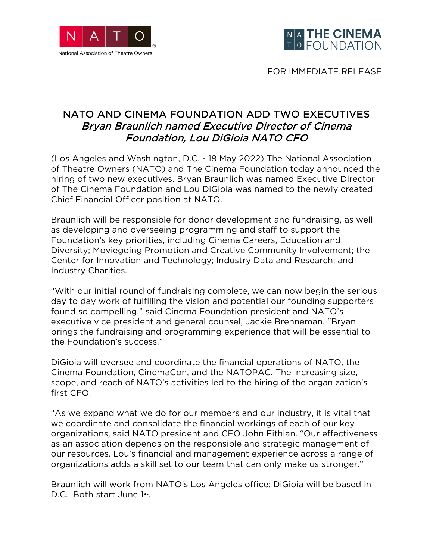



FOR IMMEDIATE RELEASE

## NATO AND CINEMA FOUNDATION ADD TWO EXECUTIVES Bryan Braunlich named Executive Director of Cinema Foundation, Lou DiGioia NATO CFO

(Los Angeles and Washington, D.C. - 18 May 2022) The National Association of Theatre Owners (NATO) and The Cinema Foundation today announced the hiring of two new executives. Bryan Braunlich was named Executive Director of The Cinema Foundation and Lou DiGioia was named to the newly created Chief Financial Officer position at NATO.

Braunlich will be responsible for donor development and fundraising, as well as developing and overseeing programming and staff to support the Foundation's key priorities, including Cinema Careers, Education and Diversity; Moviegoing Promotion and Creative Community Involvement; the Center for Innovation and Technology; Industry Data and Research; and Industry Charities.

"With our initial round of fundraising complete, we can now begin the serious day to day work of fulfilling the vision and potential our founding supporters found so compelling," said Cinema Foundation president and NATO's executive vice president and general counsel, Jackie Brenneman. "Bryan brings the fundraising and programming experience that will be essential to the Foundation's success."

DiGioia will oversee and coordinate the financial operations of NATO, the Cinema Foundation, CinemaCon, and the NATOPAC. The increasing size, scope, and reach of NATO's activities led to the hiring of the organization's first CFO.

"As we expand what we do for our members and our industry, it is vital that we coordinate and consolidate the financial workings of each of our key organizations, said NATO president and CEO John Fithian. "Our effectiveness as an association depends on the responsible and strategic management of our resources. Lou's financial and management experience across a range of organizations adds a skill set to our team that can only make us stronger."

Braunlich will work from NATO's Los Angeles office; DiGioia will be based in D.C. Both start June 1st.